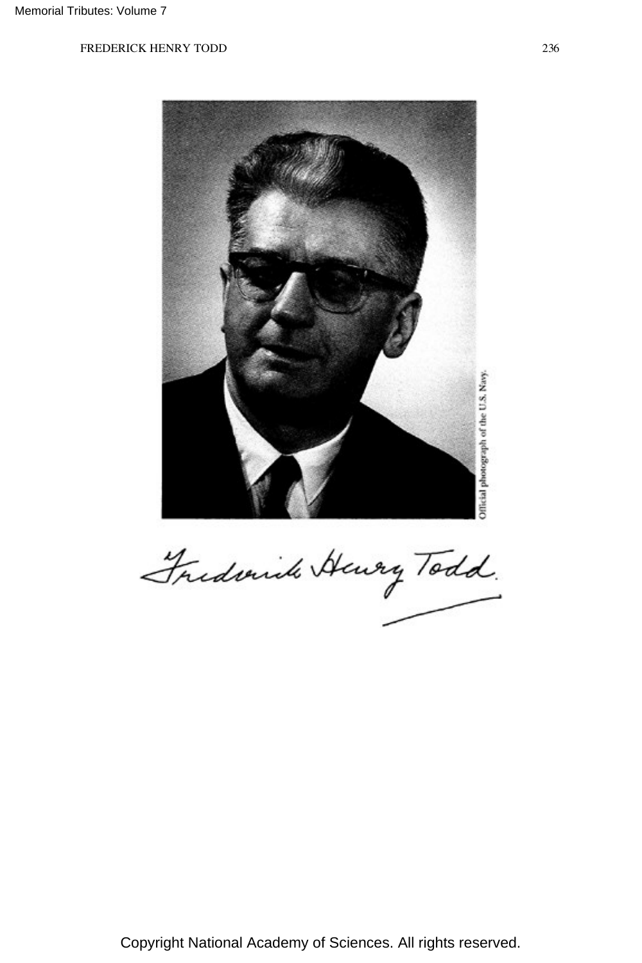

Frederick Henry Todd.

Copyright National Academy of Sciences. All rights reserved.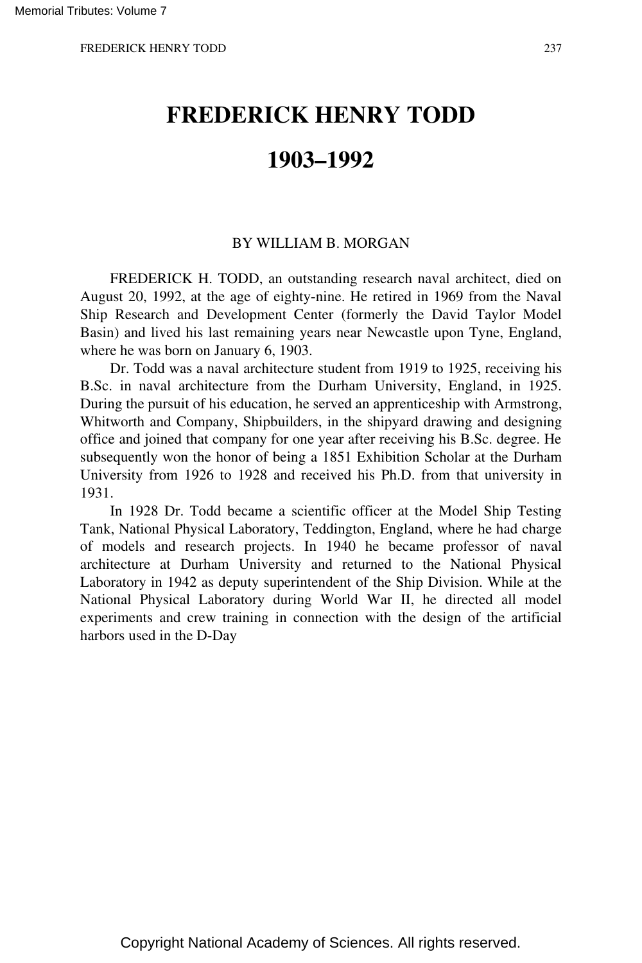## **1903–1992**

#### BY WILLIAM B. MORGAN

FREDERICK H. TODD, an outstanding research naval architect, died on August 20, 1992, at the age of eighty-nine. He retired in 1969 from the Naval Ship Research and Development Center (formerly the David Taylor Model Basin) and lived his last remaining years near Newcastle upon Tyne, England, where he was born on January 6, 1903.

Dr. Todd was a naval architecture student from 1919 to 1925, receiving his B.Sc. in naval architecture from the Durham University, England, in 1925. During the pursuit of his education, he served an apprenticeship with Armstrong, Whitworth and Company, Shipbuilders, in the shipyard drawing and designing office and joined that company for one year after receiving his B.Sc. degree. He subsequently won the honor of being a 1851 Exhibition Scholar at the Durham University from 1926 to 1928 and received his Ph.D. from that university in 1931.

In 1928 Dr. Todd became a scientific officer at the Model Ship Testing Tank, National Physical Laboratory, Teddington, England, where he had charge of models and research projects. In 1940 he became professor of naval architecture at Durham University and returned to the National Physical Laboratory in 1942 as deputy superintendent of the Ship Division. While at the National Physical Laboratory during World War II, he directed all model experiments and crew training in connection with the design of the artificial harbors used in the D-Day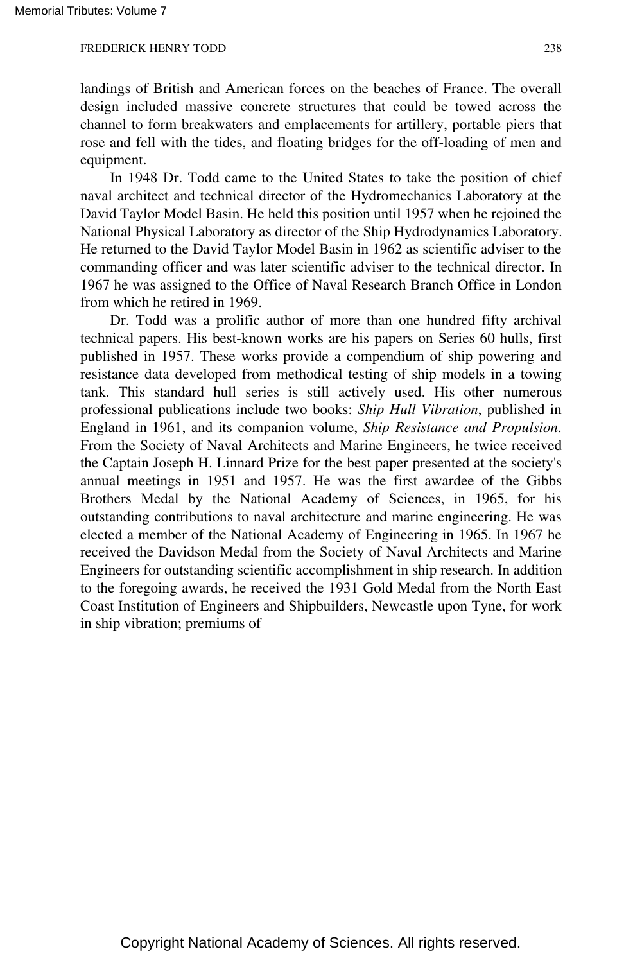landings of British and American forces on the beaches of France. The overall design included massive concrete structures that could be towed across the channel to form breakwaters and emplacements for artillery, portable piers that rose and fell with the tides, and floating bridges for the off-loading of men and equipment.

In 1948 Dr. Todd came to the United States to take the position of chief naval architect and technical director of the Hydromechanics Laboratory at the David Taylor Model Basin. He held this position until 1957 when he rejoined the National Physical Laboratory as director of the Ship Hydrodynamics Laboratory. He returned to the David Taylor Model Basin in 1962 as scientific adviser to the commanding officer and was later scientific adviser to the technical director. In 1967 he was assigned to the Office of Naval Research Branch Office in London from which he retired in 1969.

Dr. Todd was a prolific author of more than one hundred fifty archival technical papers. His best-known works are his papers on Series 60 hulls, first published in 1957. These works provide a compendium of ship powering and resistance data developed from methodical testing of ship models in a towing tank. This standard hull series is still actively used. His other numerous professional publications include two books: *Ship Hull Vibration*, published in England in 1961, and its companion volume, *Ship Resistance and Propulsion*. From the Society of Naval Architects and Marine Engineers, he twice received the Captain Joseph H. Linnard Prize for the best paper presented at the society's annual meetings in 1951 and 1957. He was the first awardee of the Gibbs Brothers Medal by the National Academy of Sciences, in 1965, for his outstanding contributions to naval architecture and marine engineering. He was elected a member of the National Academy of Engineering in 1965. In 1967 he received the Davidson Medal from the Society of Naval Architects and Marine Engineers for outstanding scientific accomplishment in ship research. In addition to the foregoing awards, he received the 1931 Gold Medal from the North East Coast Institution of Engineers and Shipbuilders, Newcastle upon Tyne, for work in ship vibration; premiums of